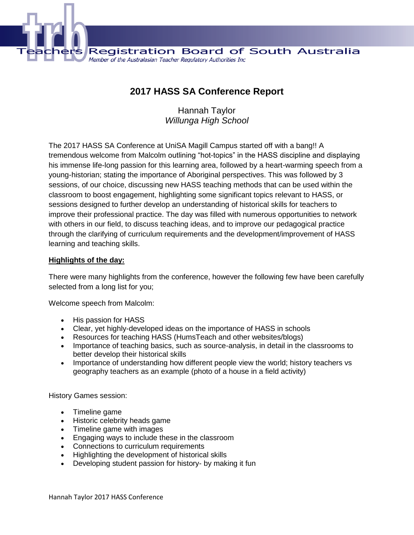

**2017 HASS SA Conference Report**

Hannah Taylor *Willunga High School*

The 2017 HASS SA Conference at UniSA Magill Campus started off with a bang!! A tremendous welcome from Malcolm outlining "hot-topics" in the HASS discipline and displaying his immense life-long passion for this learning area, followed by a heart-warming speech from a young-historian; stating the importance of Aboriginal perspectives. This was followed by 3 sessions, of our choice, discussing new HASS teaching methods that can be used within the classroom to boost engagement, highlighting some significant topics relevant to HASS, or sessions designed to further develop an understanding of historical skills for teachers to improve their professional practice. The day was filled with numerous opportunities to network with others in our field, to discuss teaching ideas, and to improve our pedagogical practice through the clarifying of curriculum requirements and the development/improvement of HASS learning and teaching skills.

#### **Highlights of the day:**

There were many highlights from the conference, however the following few have been carefully selected from a long list for you;

Welcome speech from Malcolm:

- His passion for HASS
- Clear, yet highly-developed ideas on the importance of HASS in schools
- Resources for teaching HASS (HumsTeach and other websites/blogs)
- Importance of teaching basics, such as source-analysis, in detail in the classrooms to better develop their historical skills
- Importance of understanding how different people view the world; history teachers vs geography teachers as an example (photo of a house in a field activity)

History Games session:

- Timeline game
- Historic celebrity heads game
- Timeline game with images
- Engaging ways to include these in the classroom
- Connections to curriculum requirements
- Highlighting the development of historical skills
- Developing student passion for history- by making it fun